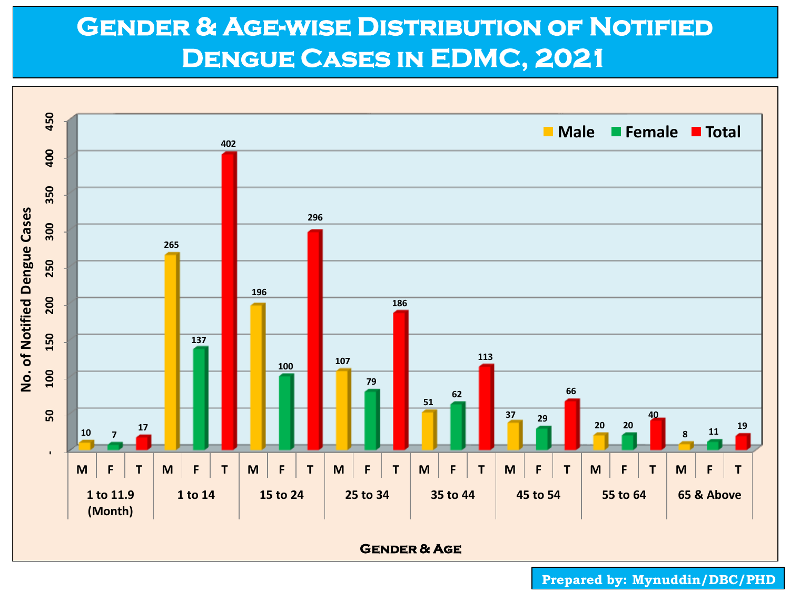## **Gender & Age-wise Distribution of Notified Dengue Cases in EDMC, 2021**

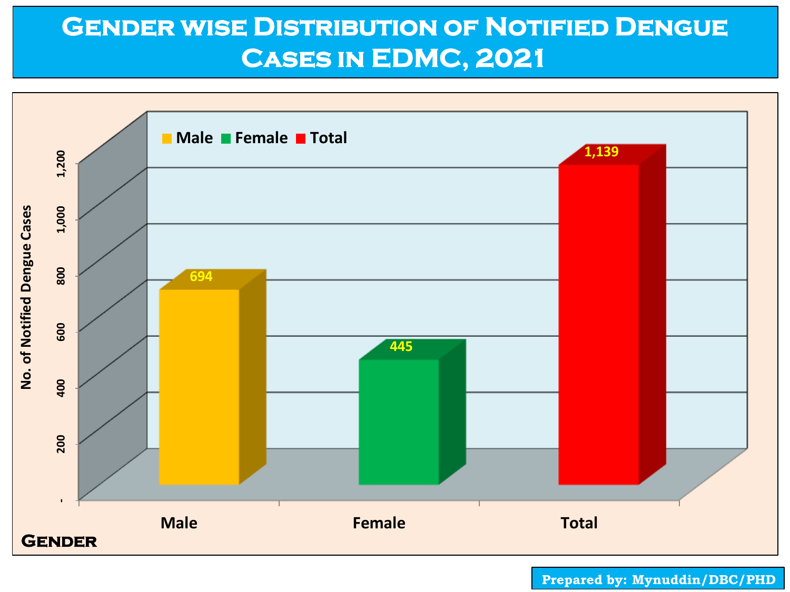# **Gender wise Distribution of Notified Dengue Cases in EDMC, 2021**

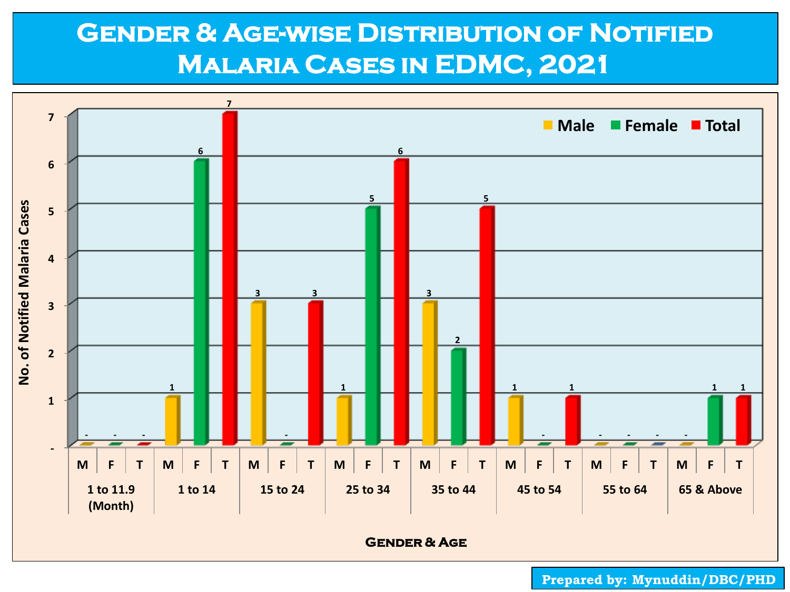## **Gender & Age-wise Distribution of Notified Malaria Cases in EDMC, 2021**